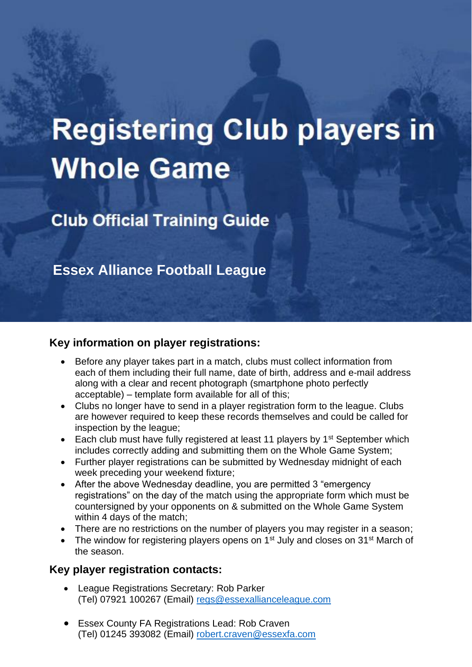# **Registering Club players in Whole Game**

**Club Official Training Guide** 

**Essex Alliance Football League**

## **Key information on player registrations:**

- Before any player takes part in a match, clubs must collect information from each of them including their full name, date of birth, address and e-mail address along with a clear and recent photograph (smartphone photo perfectly acceptable) – template form available for all of this;
- Clubs no longer have to send in a player registration form to the league. Clubs are however required to keep these records themselves and could be called for inspection by the league;
- Each club must have fully registered at least 11 players by 1<sup>st</sup> September which includes correctly adding and submitting them on the Whole Game System;
- Further player registrations can be submitted by Wednesday midnight of each week preceding your weekend fixture;
- After the above Wednesday deadline, you are permitted 3 "emergency registrations" on the day of the match using the appropriate form which must be countersigned by your opponents on & submitted on the Whole Game System within 4 days of the match;
- There are no restrictions on the number of players you may register in a season;
- The window for registering players opens on 1<sup>st</sup> July and closes on 31<sup>st</sup> March of the season.

## **Key player registration contacts:**

- League Registrations Secretary: Rob Parker (Tel) 07921 100267 (Email) [regs@essexallianceleague.com](mailto:regs@essexallianceleague.com)
- **Essex County FA Registrations Lead: Rob Craven** (Tel) 01245 393082 (Email) [robert.craven@essexfa.com](mailto:robert.craven@essexfa.com)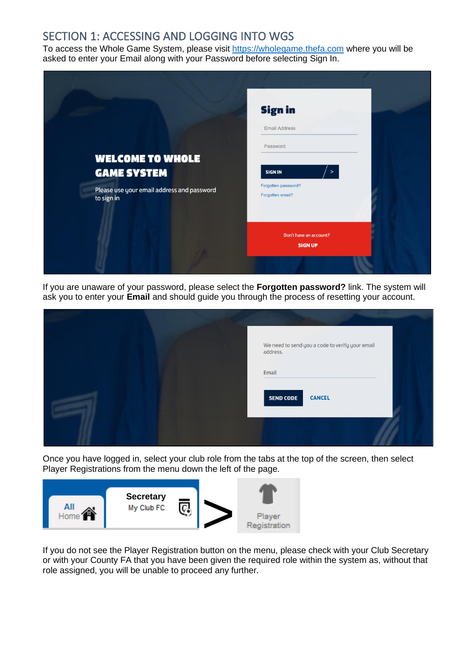## SECTION 1: ACCESSING AND LOGGING INTO WGS

To access the Whole Game System, please visit [https://wholegame.thefa.com](https://wholegame.thefa.com/) where you will be asked to enter your Email along with your Password before selecting Sign In.



If you are unaware of your password, please select the **Forgotten password?** link. The system will ask you to enter your **Email** and should guide you through the process of resetting your account.

|  | We need to send you a code to verify your email<br>address. |  |
|--|-------------------------------------------------------------|--|
|  | Email                                                       |  |
|  | <b>SEND CODE</b><br><b>CANCEL</b>                           |  |
|  |                                                             |  |

Once you have logged in, select your club role from the tabs at the top of the screen, then select Player Registrations from the menu down the left of the page.



If you do not see the Player Registration button on the menu, please check with your Club Secretary or with your County FA that you have been given the required role within the system as, without that role assigned, you will be unable to proceed any further.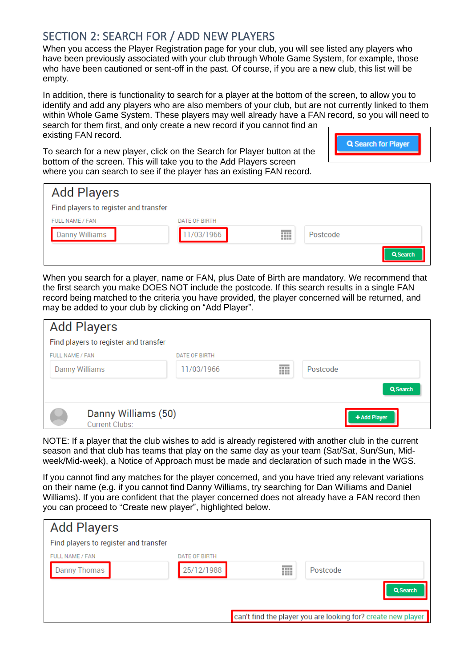## SECTION 2: SEARCH FOR / ADD NEW PLAYERS

When you access the Player Registration page for your club, you will see listed any players who have been previously associated with your club through Whole Game System, for example, those who have been cautioned or sent-off in the past. Of course, if you are a new club, this list will be empty.

In addition, there is functionality to search for a player at the bottom of the screen, to allow you to identify and add any players who are also members of your club, but are not currently linked to them within Whole Game System. These players may well already have a FAN record, so you will need to search for them first, and only create a new record if you cannot find an existing FAN record.

To search for a new player, click on the Search for Player button at the bottom of the screen. This will take you to the Add Players screen where you can search to see if the player has an existing FAN record.



| <b>Add Players</b>                    |                      |   |          |
|---------------------------------------|----------------------|---|----------|
| Find players to register and transfer |                      |   |          |
| FULL NAME / FAN                       | <b>DATE OF BIRTH</b> |   |          |
| Danny Williams                        | 1/03/1966            | ⊞ | Postcode |
|                                       |                      |   | Q Search |

When you search for a player, name or FAN, plus Date of Birth are mandatory. We recommend that the first search you make DOES NOT include the postcode. If this search results in a single FAN record being matched to the criteria you have provided, the player concerned will be returned, and may be added to your club by clicking on "Add Player".

| <b>Add Players</b>                    |               |   |              |
|---------------------------------------|---------------|---|--------------|
| Find players to register and transfer |               |   |              |
| FULL NAME / FAN                       | DATE OF BIRTH |   |              |
| Danny Williams                        | 11/03/1966    | m | Postcode     |
|                                       |               |   | Q Search     |
| Danny Williams (50)<br>Current Clubs: |               |   | + Add Player |

NOTE: If a player that the club wishes to add is already registered with another club in the current season and that club has teams that play on the same day as your team (Sat/Sat, Sun/Sun, Midweek/Mid-week), a Notice of Approach must be made and declaration of such made in the WGS.

If you cannot find any matches for the player concerned, and you have tried any relevant variations on their name (e.g. if you cannot find Danny Williams, try searching for Dan Williams and Daniel Williams). If you are confident that the player concerned does not already have a FAN record then you can proceed to "Create new player", highlighted below.

| <b>Add Players</b>                    |               |   |                                                              |
|---------------------------------------|---------------|---|--------------------------------------------------------------|
| Find players to register and transfer |               |   |                                                              |
| FULL NAME / FAN                       | DATE OF BIRTH |   |                                                              |
| Danny Thomas                          | 25/12/1988    | ⊞ | Postcode                                                     |
|                                       |               |   | Q Search                                                     |
|                                       |               |   | can't find the player you are looking for? create new player |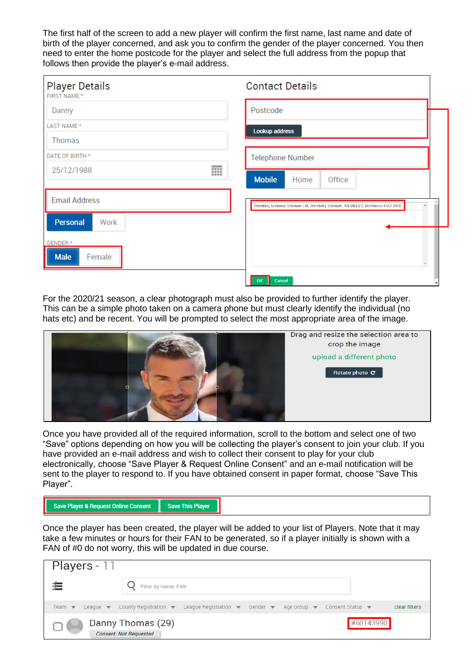The first half of the screen to add a new player will confirm the first name, last name and date of birth of the player concerned, and ask you to confirm the gender of the player concerned. You then need to enter the home postcode for the player and select the full address from the popup that follows then provide the player's e-mail address.

| <b>Player Details</b><br>FIRST NAME * |   | <b>Contact Details</b>                                                    |  |
|---------------------------------------|---|---------------------------------------------------------------------------|--|
| Danny                                 |   | Postcode                                                                  |  |
| LAST NAME *                           |   | Lookup address                                                            |  |
| Thomas                                |   |                                                                           |  |
| DATE OF BIRTH *                       |   | <b>Telephone Number</b>                                                   |  |
| 25/12/1988                            | 丽 | <b>Mobile</b><br>Home<br>Office                                           |  |
| <b>Email Address</b>                  |   | Wembley National Stadium Ltd, Wembley Stadium, WEMBLEY, Middlesex HA9 0WS |  |
| Personal<br>Work                      |   |                                                                           |  |
| GENDER*<br><b>Male</b><br>Female      |   |                                                                           |  |
|                                       |   | OK   Cancel                                                               |  |

For the 2020/21 season, a clear photograph must also be provided to further identify the player. This can be a simple photo taken on a camera phone but must clearly identify the individual (no hats etc) and be recent. You will be prompted to select the most appropriate area of the image.



Once you have provided all of the required information, scroll to the bottom and select one of two "Save" options depending on how you will be collecting the player's consent to join your club. If you have provided an e-mail address and wish to collect their consent to play for your club electronically, choose "Save Player & Request Online Consent" and an e-mail notification will be sent to the player to respond to. If you have obtained consent in paper format, choose "Save This Player".

| Save Player & Request Online Consent | <b>Save This Player</b> |
|--------------------------------------|-------------------------|
|--------------------------------------|-------------------------|

Once the player has been created, the player will be added to your list of Players. Note that it may take a few minutes or hours for their FAN to be generated, so if a player initially is shown with a FAN of #0 do not worry, this will be updated in due course.

| Players - 11              |                                                                                                                                                                                                              |           |               |
|---------------------------|--------------------------------------------------------------------------------------------------------------------------------------------------------------------------------------------------------------|-----------|---------------|
| 狟                         | Filter by name, FAN                                                                                                                                                                                          |           |               |
| Team $\blacktriangledown$ | League $\blacktriangledown$ County Registration $\blacktriangledown$ League Registration $\blacktriangledown$ Gender $\blacktriangledown$ Age Group $\blacktriangledown$ Consent Status $\blacktriangledown$ |           | clear filters |
|                           | Danny Thomas (29)<br><b>Consent: Not Requested</b>                                                                                                                                                           | #60143990 |               |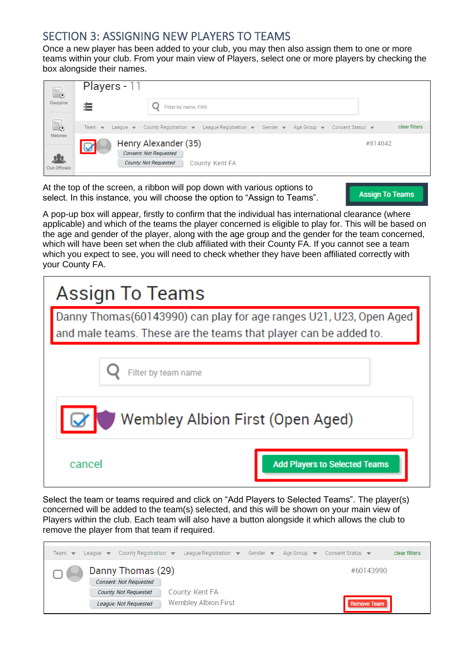# SECTION 3: ASSIGNING NEW PLAYERS TO TEAMS

Once a new player has been added to your club, you may then also assign them to one or more teams within your club. From your main view of Players, select one or more players by checking the box alongside their names.

| $\frac{1}{\sqrt{2}}$ | Players - 11                                          |                                                                                                                           |               |
|----------------------|-------------------------------------------------------|---------------------------------------------------------------------------------------------------------------------------|---------------|
| Discipline           |                                                       | Filter by name, FAN                                                                                                       |               |
| E.                   | Team $\blacktriangledown$ League $\blacktriangledown$ | County Registration $\bullet$ League Registration $\bullet$ Gender $\bullet$ Age Group $\bullet$ Consent Status $\bullet$ | clear filters |
| Matches              | $\overline{\mathbf{Q}}$                               | Henry Alexander (35)<br><b>Consent: Not Requested</b>                                                                     | #814042       |
| Club Officials       |                                                       | <b>County: Not Requested</b><br>County: Kent FA                                                                           |               |

At the top of the screen, a ribbon will pop down with various options to select. In this instance, you will choose the option to "Assign to Teams".

**Assign To Teams** 

A pop-up box will appear, firstly to confirm that the individual has international clearance (where applicable) and which of the teams the player concerned is eligible to play for. This will be based on the age and gender of the player, along with the age group and the gender for the team concerned, which will have been set when the club affiliated with their County FA. If you cannot see a team which you expect to see, you will need to check whether they have been affiliated correctly with your County FA.

| Assign To Teams                                                                                                                        |  |  |  |  |
|----------------------------------------------------------------------------------------------------------------------------------------|--|--|--|--|
| Danny Thomas(60143990) can play for age ranges U21, U23, Open Aged<br>and male teams. These are the teams that player can be added to. |  |  |  |  |
| Filter by team name                                                                                                                    |  |  |  |  |
| Wembley Albion First (Open Aged)                                                                                                       |  |  |  |  |
| cancel<br><b>Add Players to Selected Teams</b>                                                                                         |  |  |  |  |

Select the team or teams required and click on "Add Players to Selected Teams". The player(s) concerned will be added to the team(s) selected, and this will be shown on your main view of Players within the club. Each team will also have a button alongside it which allows the club to remove the player from that team if required.

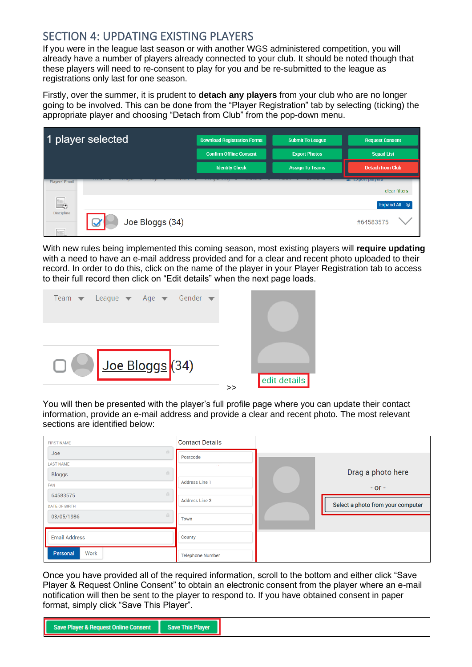# SECTION 4: UPDATING EXISTING PLAYERS

If you were in the league last season or with another WGS administered competition, you will already have a number of players already connected to your club. It should be noted though that these players will need to re-consent to play for you and be re-submitted to the league as registrations only last for one season.

Firstly, over the summer, it is prudent to **detach any players** from your club who are no longer going to be involved. This can be done from the "Player Registration" tab by selecting (ticking) the appropriate player and choosing "Detach from Club" from the pop-down menu.



With new rules being implemented this coming season, most existing players will **require updating** with a need to have an e-mail address provided and for a clear and recent photo uploaded to their record. In order to do this, click on the name of the player in your Player Registration tab to access to their full record then click on "Edit details" when the next page loads.



You will then be presented with the player's full profile page where you can update their contact information, provide an e-mail address and provide a clear and recent photo. The most relevant sections are identified below:

| <b>FIRST NAME</b>         | <b>Contact Details</b>  |                                   |
|---------------------------|-------------------------|-----------------------------------|
| a.<br>Joe                 | Postcode                |                                   |
| <b>LAST NAME</b>          |                         |                                   |
| $\alpha$<br><b>Bloggs</b> |                         | Drag a photo here                 |
| FAN                       | <b>Address Line 1</b>   | $-$ or $-$                        |
| $\alpha$<br>64583575      |                         |                                   |
| <b>DATE OF BIRTH</b>      | <b>Address Line 2</b>   | Select a photo from your computer |
| a.<br>03/05/1986          | Town                    |                                   |
|                           |                         |                                   |
| <b>Email Address</b>      | County                  |                                   |
| Work<br>Personal          | <b>Telephone Number</b> |                                   |

Once you have provided all of the required information, scroll to the bottom and either click "Save Player & Request Online Consent" to obtain an electronic consent from the player where an e-mail notification will then be sent to the player to respond to. If you have obtained consent in paper format, simply click "Save This Player".

| Save Player & Request Online Consent Save This Player |  |
|-------------------------------------------------------|--|
|                                                       |  |
|                                                       |  |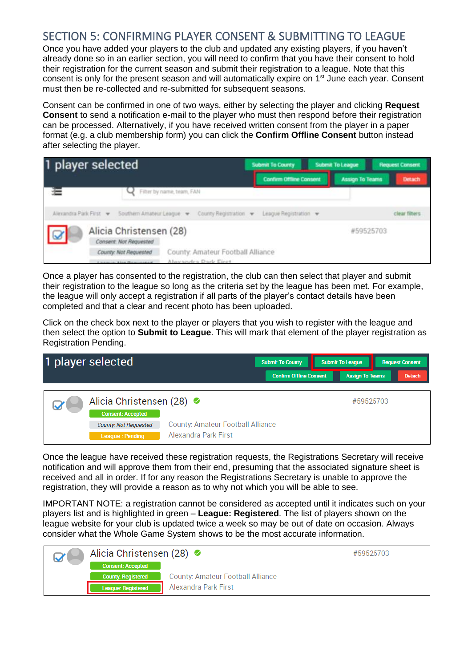# SECTION 5: CONFIRMING PLAYER CONSENT & SUBMITTING TO LEAGUE

Once you have added your players to the club and updated any existing players, if you haven't already done so in an earlier section, you will need to confirm that you have their consent to hold their registration for the current season and submit their registration to a league. Note that this consent is only for the present season and will automatically expire on 1<sup>st</sup> June each year. Consent must then be re-collected and re-submitted for subsequent seasons.

Consent can be confirmed in one of two ways, either by selecting the player and clicking **Request Consent** to send a notification e-mail to the player who must then respond before their registration can be processed. Alternatively, if you have received written consent from the player in a paper format (e.g. a club membership form) you can click the **Confirm Offline Consent** button instead after selecting the player.

| 1 player selected                                                                                              | <b>Submit To County</b>        | <b>Submit To League</b> | <b>Request Consent</b> |
|----------------------------------------------------------------------------------------------------------------|--------------------------------|-------------------------|------------------------|
|                                                                                                                | <b>Confirm Offline Consent</b> | Assign To Teams         | <b>Detach</b>          |
| Filter by name, team, FAN                                                                                      |                                |                         |                        |
| Alexandra Park First > Southern Amateur League > County Registration > League Registration >                   |                                |                         | riear filters          |
| Alicia Christensen (28)<br>Consent: Not Requested                                                              |                                |                         | #59525703              |
| County: Amateur Football Alliance<br>County: Not Requested<br>Alavandra Dark Firet<br>Conserver Mor Chapmanned |                                |                         |                        |

Once a player has consented to the registration, the club can then select that player and submit their registration to the league so long as the criteria set by the league has been met. For example, the league will only accept a registration if all parts of the player's contact details have been completed and that a clear and recent photo has been uploaded.

Click on the check box next to the player or players that you wish to register with the league and then select the option to **Submit to League**. This will mark that element of the player registration as Registration Pending.



Once the league have received these registration requests, the Registrations Secretary will receive notification and will approve them from their end, presuming that the associated signature sheet is received and all in order. If for any reason the Registrations Secretary is unable to approve the registration, they will provide a reason as to why not which you will be able to see.

IMPORTANT NOTE: a registration cannot be considered as accepted until it indicates such on your players list and is highlighted in green – **League: Registered**. The list of players shown on the league website for your club is updated twice a week so may be out of date on occasion. Always consider what the Whole Game System shows to be the most accurate information.